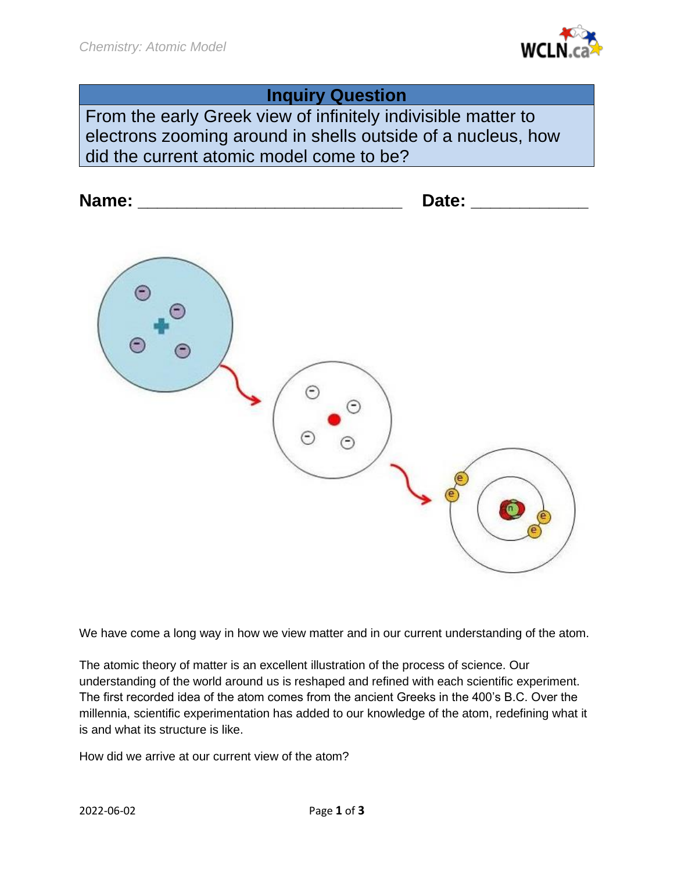

# **Inquiry Question**

From the early Greek view of infinitely indivisible matter to electrons zooming around in shells outside of a nucleus, how did the current atomic model come to be?



We have come a long way in how we view matter and in our current understanding of the atom.

The atomic theory of matter is an excellent illustration of the process of science. Our understanding of the world around us is reshaped and refined with each scientific experiment. The first recorded idea of the atom comes from the ancient Greeks in the 400's B.C. Over the millennia, scientific experimentation has added to our knowledge of the atom, redefining what it is and what its structure is like.

How did we arrive at our current view of the atom?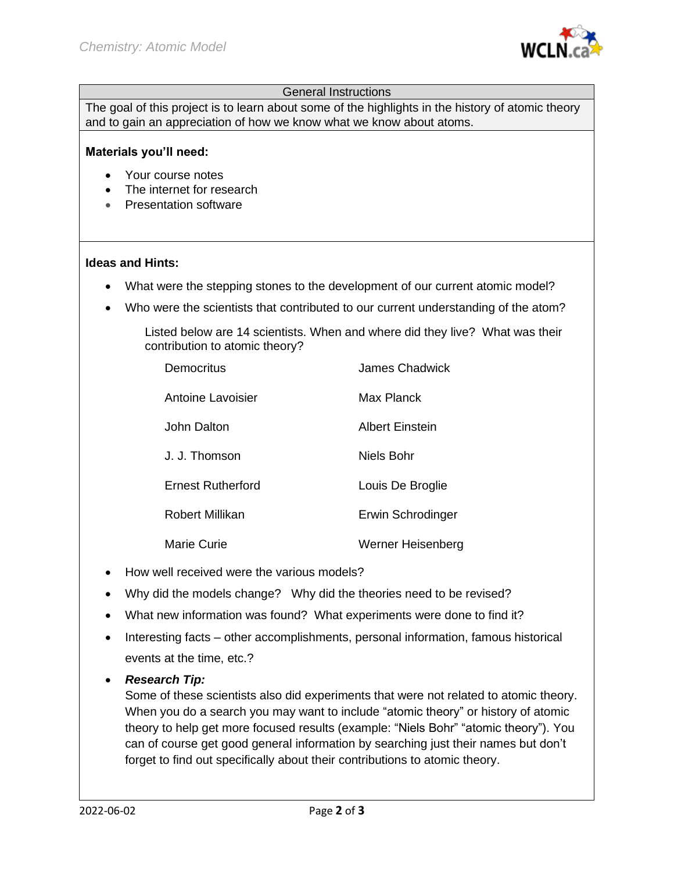

## General Instructions

The goal of this project is to learn about some of the highlights in the history of atomic theory and to gain an appreciation of how we know what we know about atoms.

#### **Materials you'll need:**

- Your course notes
- The internet for research
- Presentation software

#### **Ideas and Hints:**

- What were the stepping stones to the development of our current atomic model?
- Who were the scientists that contributed to our current understanding of the atom?

Listed below are 14 scientists. When and where did they live? What was their contribution to atomic theory?

| Democritus               | James Chadwick    |
|--------------------------|-------------------|
| Antoine Lavoisier        | Max Planck        |
| John Dalton              | Albert Einstein   |
| J. J. Thomson            | Niels Bohr        |
| <b>Ernest Rutherford</b> | Louis De Broglie  |
| Robert Millikan          | Erwin Schrodinger |
| <b>Marie Curie</b>       | Werner Heisenberg |

- How well received were the various models?
- Why did the models change? Why did the theories need to be revised?
- What new information was found? What experiments were done to find it?
- Interesting facts other accomplishments, personal information, famous historical events at the time, etc.?

## • *Research Tip:*

Some of these scientists also did experiments that were not related to atomic theory. When you do a search you may want to include "atomic theory" or history of atomic theory to help get more focused results (example: "Niels Bohr" "atomic theory"). You can of course get good general information by searching just their names but don't forget to find out specifically about their contributions to atomic theory.